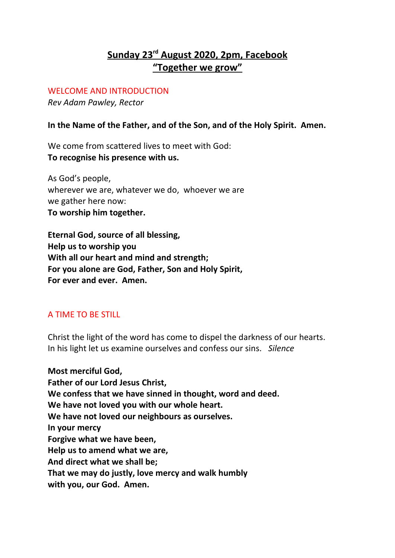# **Sunday 23rd August 2020, 2pm, Facebook " Together we grow"**

#### WELCOME AND INTRODUCTION

*Rev Adam Pawley, Rector*

## **In the Name of the Father, and of the Son, and of the Holy Spirit. Amen.**

We come from scattered lives to meet with God: **To recognise his presence with us.**

As God's people, wherever we are, whatever we do, whoever we are we gather here now: **To worship him together.**

**Eternal God, source of all blessing, Help us to worship you With all our heart and mind and strength; For you alone are God, Father, Son and Holy Spirit, For ever and ever. Amen.**

## A TIME TO BE STILL

Christ the light of the word has come to dispel the darkness of our hearts. In his light let us examine ourselves and confess our sins. *Silence* 

**Most merciful God, Father of our Lord Jesus Christ, We confess that we have sinned in thought, word and deed. We have not loved you with our whole heart. We have not loved our neighbours as ourselves. In your mercy Forgive what we have been, Help us to amend what we are, And direct what we shall be; That we may do justly, love mercy and walk humbly with you, our God. Amen.**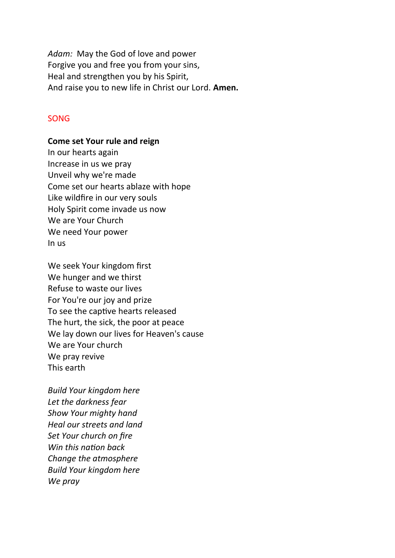*Adam:* May the God of love and power Forgive you and free you from your sins, Heal and strengthen you by his Spirit, And raise you to new life in Christ our Lord. **Amen.** 

## SONG

#### **Come set Your rule and reign**

In our hearts again Increase in us we pray Unveil why we're made Come set our hearts ablaze with hope Like wildfire in our very souls Holy Spirit come invade us now We are Your Church We need Your power In us

We seek Your kingdom first We hunger and we thirst Refuse to waste our lives For You're our joy and prize To see the captive hearts released The hurt, the sick, the poor at peace We lay down our lives for Heaven's cause We are Your church We pray revive This earth

*Build Your kingdom here Let the darkness fear Show Your mighty hand Heal our streets and land Set Your church on fire Win this nation back Change the atmosphere Build Your kingdom here We pray*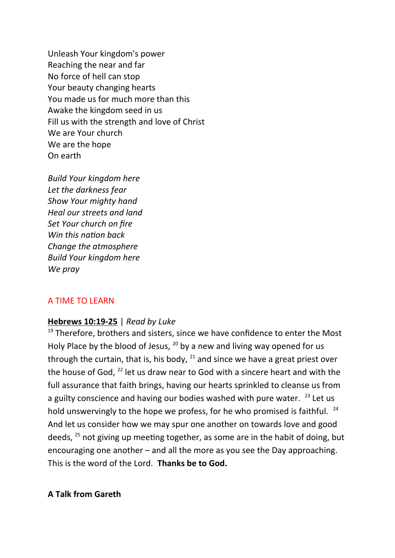Unleash Your kingdom's power Reaching the near and far No force of hell can stop Your beauty changing hearts You made us for much more than this Awake the kingdom seed in us Fill us with the strength and love of Christ We are Your church We are the hope On earth

*Build Your kingdom here Let the darkness fear Show Your mighty hand Heal our streets and land Set Your church on fire Win this nation back Change the atmosphere Build Your kingdom here We pray* 

### A TIME TO LEARN

### **Hebrews 10:19-25** | *Read by Luke*

 $19$  Therefore, brothers and sisters, since we have confidence to enter the Most Holy Place by the blood of Jesus,  $^{20}$  by a new and living way opened for us through the curtain, that is, his body,  $^{21}$  and since we have a great priest over the house of God, <sup>22</sup> let us draw near to God with a sincere heart and with the full assurance that faith brings, having our hearts sprinkled to cleanse us from a guilty conscience and having our bodies washed with pure water.  $^{23}$  Let us hold unswervingly to the hope we profess, for he who promised is faithful.  $24$ And let us consider how we may spur one another on towards love and good deeds, <sup>25</sup> not giving up meeting together, as some are in the habit of doing, but encouraging one another – and all the more as you see the Day approaching. This is the word of the Lord. **Thanks be to God.**

### **A Talk from Gareth**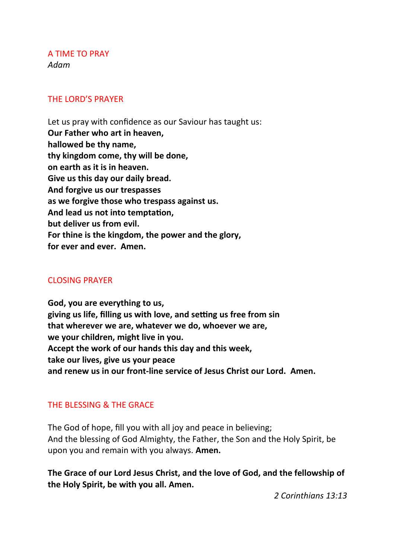#### A TIME TO PRAY *Adam*

## THE LORD'S PRAYER

Let us pray with confidence as our Saviour has taught us: **Our Father who art in heaven, hallowed be thy name, thy kingdom come, thy will be done, on earth as it is in heaven. Give us this day our daily bread. And forgive us our trespasses as we forgive those who trespass against us. And lead us not into temptation, but deliver us from evil. For thine is the kingdom, the power and the glory, for ever and ever. Amen.**

## CLOSING PRAYER

**God, you are everything to us, giving us life, filling us with love, and setting us free from sin that wherever we are, whatever we do, whoever we are, we your children, might live in you. Accept the work of our hands this day and this week, take our lives, give us your peace and renew us in our front-line service of Jesus Christ our Lord. Amen.** 

## THE BLESSING & THE GRACE

The God of hope, fill you with all joy and peace in believing; And the blessing of God Almighty, the Father, the Son and the Holy Spirit, be upon you and remain with you always. **Amen.** 

**The Grace of our Lord Jesus Christ, and the love of God, and the fellowship of the Holy Spirit, be with you all. Amen.**

*2 Corinthians 13:13*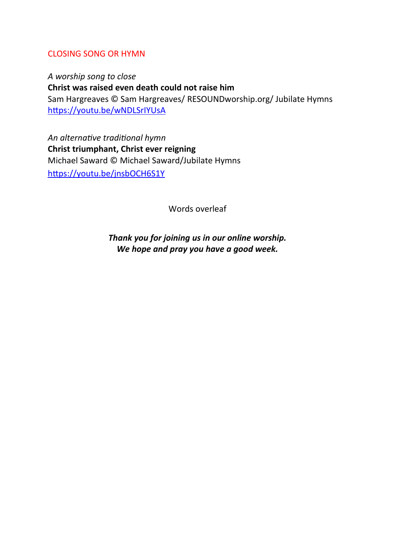## CLOSING SONG OR HYMN

*A worship song to close* **Christ was raised even death could not raise him** Sam Hargreaves © Sam Hargreaves/ RESOUNDworship.org/ Jubilate Hymns <https://youtu.be/wNDLSrIYUsA>

*An alternative traditional hymn* **Christ triumphant, Christ ever reigning** Michael Saward © Michael Saward/Jubilate Hymns <https://youtu.be/jnsbOCH6S1Y>

Words overleaf

*Thank you for joining us in our online worship. We hope and pray you have a good week.*